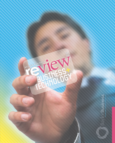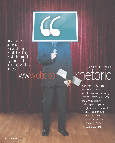

In some cases, appearance is everything. Randall Waller, Baylor Information Systems senior lécturer, definitely agrees.

www.ebsite

## BY KRISTIN TODDhetoric

Waller, who teaches business communication classes, is currently researching how leading global corporations use their Web sites to project an image of solid corporate responsibility. Through incorporating rhetorical and sociological analysis, he reveals what Web sites are really saying to consumers, government regulators and the investment community.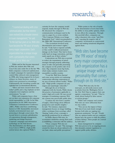

"I started out dealing with crisis communication, but that interest soon evolved into a broader interest with a personality that comes through on its Web site."

Waller said he first became interested in Web site analysis after Nike and Coca-Cola came under fire in the late '90s. Both companies conducted sophisticated, in-depth campaigns for reputation damage control.Nike enforced crisis management in 1998, after being targeted for its heavy reliance on Asian factories, many of which were portrayed as sweatshops. Unfortunately, the sweatshop scandal case exploded into an international dilemma.

"More and more research shows that today's public puts a big emphasis on how companies treat employees and the environment," he said.

Waller said companies keep a close eye on their own reputation for corporate social responsibility, or CSR. In his Nike presentation for the 2005 Association of Business Communication Conference (ABC), Waller cited four contributing factors to CSR. Sustainability movement includes environmental issues and protecting it through conservation. The second factor is economic globalization of corporations through management, marketing and design functions. Corporate campaigns and information technology are the final factors. The discrimination case filed against Coca-Cola in 1999 by a high-profile activist lawyer also captured Waller's

curiosity for how the company would respond, mainly through its Web site. He discussed the company's communication techniques used in the case in a paper he co-wrote entitled, "The Corporate Website as an Image Restoration Tool," which was presented at the 2004 ABC International Conference.

"The accusations involved racial discrimination and women's rights," he said. "Coke had to respond carefully, or they could've inflicted permanent damage on the brand. They had to focus really hard on image restoration, and they made superb use of their website."

Corporations use Web sites as portals to reduce the transmission of mixed messages through properly addressing issues at stake and generally presenting the company on the positive side of an issue. Big companies mean big bucks, which makes industry leaders more susceptible to public scrutiny.

"I read the *Wall Street Journal* and come across articles on continuing controversies affecting corporations in my area of interest almost weekly," Waller said. "High-profile companies are easy targets and surprisingly vulnerable."

Although the art of rhetoric originated with the Greeks, Waller deems this practice of persuasion applicable to today's high-tech world. He uses several strategies of translating corporate Web site content into perceivable public ideas.

"I analyze the sites from a number of angles, which brings about different perspectives and valuable insights," he said. "For instance, impression management focuses on image building, while a technique from sociology called 'framing' looks at how a message is specifically positioned for its audience."

As Waller dissects Web sites, he accumulates similarities among them such as establishing a connection with the audience.

"These company Web sites are social constructs," he said. "The messages created for them are always tailored to fit our basic values and public perceptions."

Waller points to the role of media in the dissemination of news that holds the ability to sway public opinion, which in turn affects the companies. Through this snowball effect, companies can collect dissenters who create "anti-Web sites" exposing the negative side of companies' involvement in controversial issues and making sensational allegations against them.

"Web sites have become the 'PR voice' of nearly every major corporation. Each organization has a unique image with a personality that comes through on its Web site."

"These Web sites rely, for the most part, on old media sources such as articles from the *Washington Post* or the *New York Times* to support their case against a corporation," he said. "They're nearly always backed by labor unions or activist groups."

Waller said company and counter Web sites are more influential than we may realize.

"You can see the impact of these Web sites if you read closely enough because both sides are tapping into grassroots sentiments," he said. "People who are opinion leaders and are computer literate have the power to shift the politics of these debates. These people are courted by both sides."

Issues management by company Web sites proves to be an ongoing process that demands constant regulation to support public policy debates.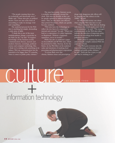"The people running these sites are technically and rhetorically savvy," Waller said. "These sites give us political theater. Each one uses some form of storytelling to make its message vivid and compelling."

The analytical process for the Web sites is anything but simple, demanding a wide array of skills.

"I think this is one of the most multidisciplinary things a researcher in my field can do," he said. "It requires knowledge of the business world, communication theory, ancient and modern rhetoric, sociology, political science and computer technology. But, I think we're dealing with something in its infancy. Web site communication has the potential to be bigger than TV someday when it comes to public policy debates."

The man has a point. Internet access is available internationally around the clock. Web sites are flexible as they can be quickly updated to address morphing issues. They are also more cost-effective than printed brochures, which can quickly become outdated.

"Web sites have the technology to reflect the two faces of a corporation: internal and external," he said. "When you look at a corporation, it's either legitimate or illegitimate. Without a legitimate reputation, you're in trouble."

Waller has also co-authored a paper on ExxonMobil and BP Web sites, which he presented in Oslo, Norway. As for the future, he has Wal-Mart on his analytical radar and intentions of studying food processing and pharmaceutical corporations.

"It seems likely now that obesity/diabetes issues and prescription drugs with dangerous side effects will be targeted just like tobacco in the 1990s," he said.

So why should society care about what company Web sites have to say?

"These company Web sites are dealing with issues that touch nearly every one of us as consumers," he said. "The messages communicated on the Web sites often indicate the direction of important policy debates on everything from health to pollution concerns."

Waller plans to continue his research and eventually compile analyzed Web site cases into a book.

"The Web puts everyone into the loop of dialogue on business decisionmaking and public policy debates," he said. "Each site has a story to tell, and they're sticking to it."

BY KRISTIN TODD

 $+$ information technology

culture